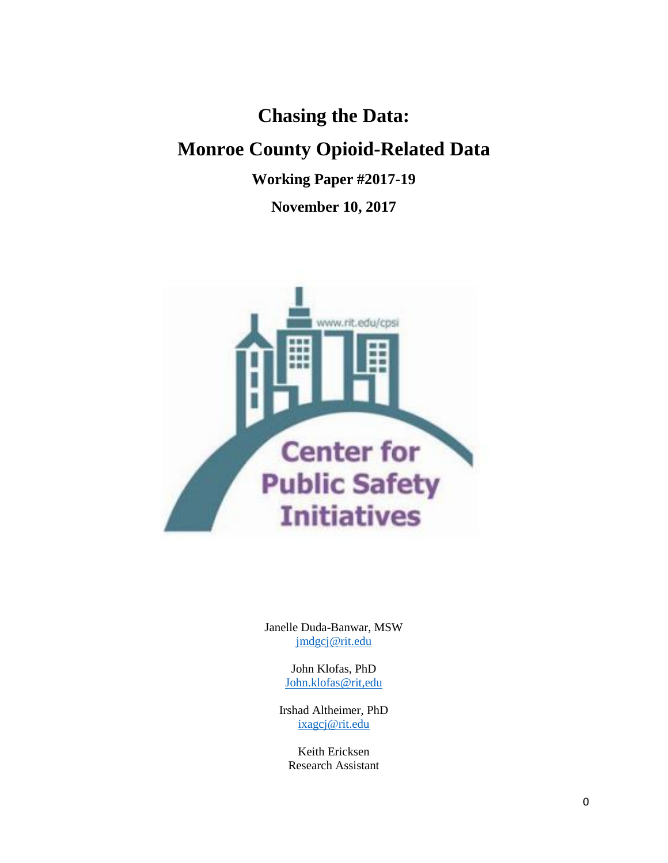# **Chasing the Data: Monroe County Opioid-Related Data**

**Working Paper #2017-19**

**November 10, 2017**



Janelle Duda-Banwar, MSW [jmdgcj@rit.edu](mailto:jmdgcj@rit.edu)

> John Klofas, PhD [John.klofas@rit,edu](mailto:John.klofas@rit,edu)

Irshad Altheimer, PhD [ixagcj@rit.edu](mailto:ixagcj@rit.edu)

Keith Ericksen Research Assistant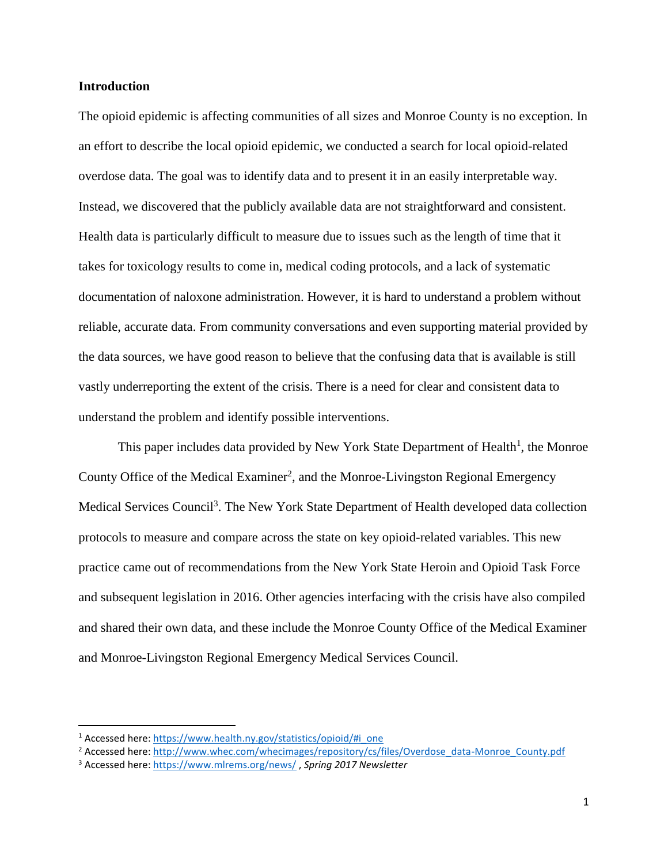#### **Introduction**

The opioid epidemic is affecting communities of all sizes and Monroe County is no exception. In an effort to describe the local opioid epidemic, we conducted a search for local opioid-related overdose data. The goal was to identify data and to present it in an easily interpretable way. Instead, we discovered that the publicly available data are not straightforward and consistent. Health data is particularly difficult to measure due to issues such as the length of time that it takes for toxicology results to come in, medical coding protocols, and a lack of systematic documentation of naloxone administration. However, it is hard to understand a problem without reliable, accurate data. From community conversations and even supporting material provided by the data sources, we have good reason to believe that the confusing data that is available is still vastly underreporting the extent of the crisis. There is a need for clear and consistent data to understand the problem and identify possible interventions.

This paper includes data provided by New York State Department of Health<sup>1</sup>, the Monroe County Office of the Medical Examiner<sup>2</sup>, and the Monroe-Livingston Regional Emergency Medical Services Council<sup>3</sup>. The New York State Department of Health developed data collection protocols to measure and compare across the state on key opioid-related variables. This new practice came out of recommendations from the New York State Heroin and Opioid Task Force and subsequent legislation in 2016. Other agencies interfacing with the crisis have also compiled and shared their own data, and these include the Monroe County Office of the Medical Examiner and Monroe-Livingston Regional Emergency Medical Services Council.

l

<sup>&</sup>lt;sup>1</sup> Accessed here[: https://www.health.ny.gov/statistics/opioid/#i\\_one](https://www.health.ny.gov/statistics/opioid/#i_one)

<sup>&</sup>lt;sup>2</sup> Accessed here[: http://www.whec.com/whecimages/repository/cs/files/Overdose\\_data-Monroe\\_County.pdf](http://www.whec.com/whecimages/repository/cs/files/Overdose_data-Monroe_County.pdf)

<sup>3</sup> Accessed here[: https://www.mlrems.org/news/](https://www.mlrems.org/news/) , *Spring 2017 Newsletter*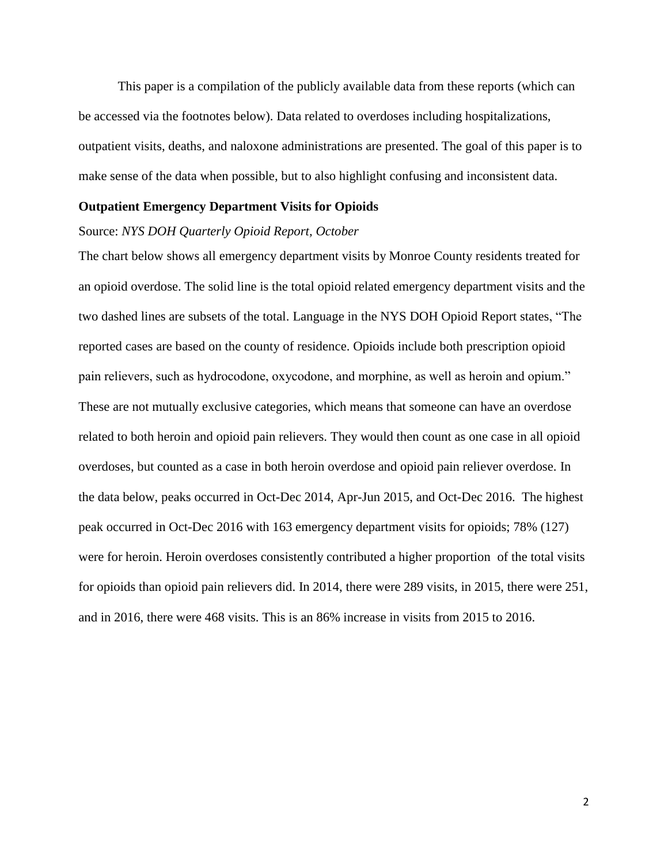This paper is a compilation of the publicly available data from these reports (which can be accessed via the footnotes below). Data related to overdoses including hospitalizations, outpatient visits, deaths, and naloxone administrations are presented. The goal of this paper is to make sense of the data when possible, but to also highlight confusing and inconsistent data.

#### **Outpatient Emergency Department Visits for Opioids**

#### Source: *NYS DOH Quarterly Opioid Report, October*

The chart below shows all emergency department visits by Monroe County residents treated for an opioid overdose. The solid line is the total opioid related emergency department visits and the two dashed lines are subsets of the total. Language in the NYS DOH Opioid Report states, "The reported cases are based on the county of residence. Opioids include both prescription opioid pain relievers, such as hydrocodone, oxycodone, and morphine, as well as heroin and opium." These are not mutually exclusive categories, which means that someone can have an overdose related to both heroin and opioid pain relievers. They would then count as one case in all opioid overdoses, but counted as a case in both heroin overdose and opioid pain reliever overdose. In the data below, peaks occurred in Oct-Dec 2014, Apr-Jun 2015, and Oct-Dec 2016. The highest peak occurred in Oct-Dec 2016 with 163 emergency department visits for opioids; 78% (127) were for heroin. Heroin overdoses consistently contributed a higher proportion of the total visits for opioids than opioid pain relievers did. In 2014, there were 289 visits, in 2015, there were 251, and in 2016, there were 468 visits. This is an 86% increase in visits from 2015 to 2016.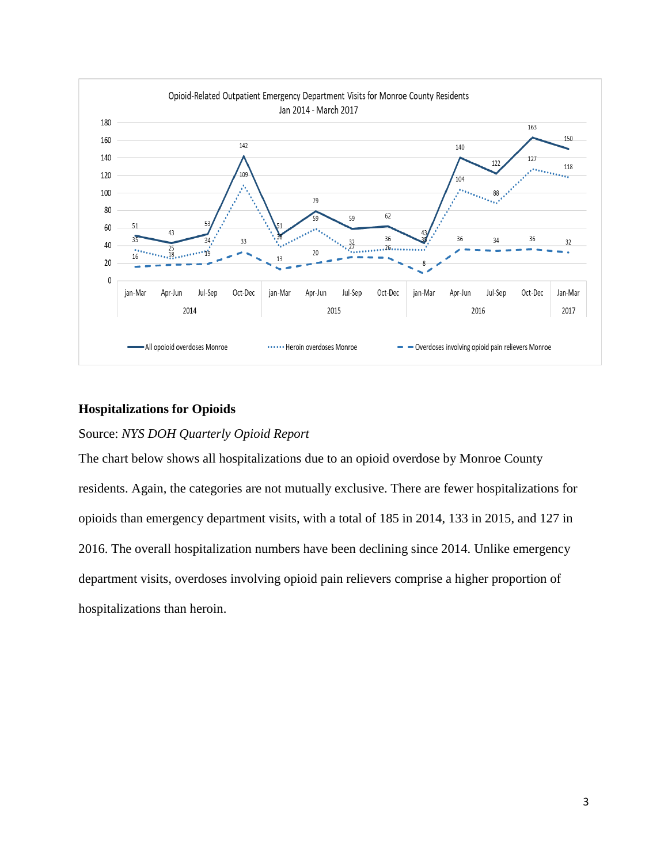

# **Hospitalizations for Opioids**

# Source: *NYS DOH Quarterly Opioid Report*

The chart below shows all hospitalizations due to an opioid overdose by Monroe County residents. Again, the categories are not mutually exclusive. There are fewer hospitalizations for opioids than emergency department visits, with a total of 185 in 2014, 133 in 2015, and 127 in 2016. The overall hospitalization numbers have been declining since 2014. Unlike emergency department visits, overdoses involving opioid pain relievers comprise a higher proportion of hospitalizations than heroin.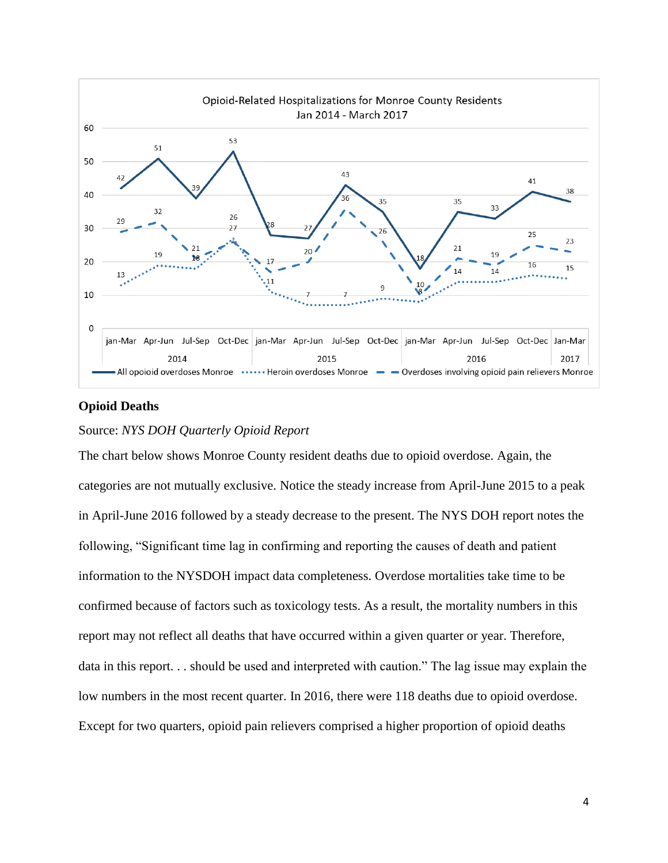

# **Opioid Deaths**

## Source: *NYS DOH Quarterly Opioid Report*

The chart below shows Monroe County resident deaths due to opioid overdose. Again, the categories are not mutually exclusive. Notice the steady increase from April-June 2015 to a peak in April-June 2016 followed by a steady decrease to the present. The NYS DOH report notes the following, "Significant time lag in confirming and reporting the causes of death and patient information to the NYSDOH impact data completeness. Overdose mortalities take time to be confirmed because of factors such as toxicology tests. As a result, the mortality numbers in this report may not reflect all deaths that have occurred within a given quarter or year. Therefore, data in this report. . . should be used and interpreted with caution." The lag issue may explain the low numbers in the most recent quarter. In 2016, there were 118 deaths due to opioid overdose. Except for two quarters, opioid pain relievers comprised a higher proportion of opioid deaths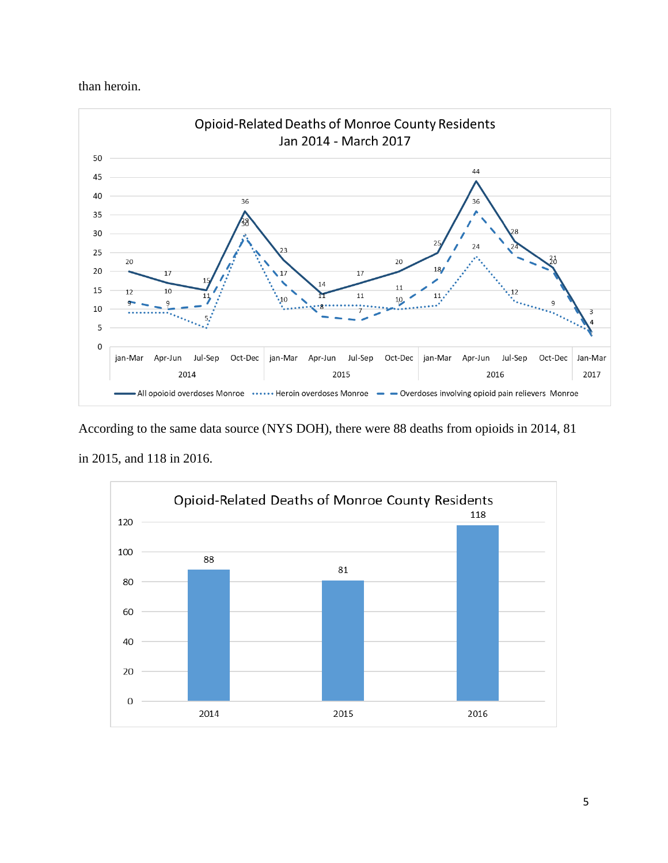than heroin.



According to the same data source (NYS DOH), there were 88 deaths from opioids in 2014, 81 in 2015, and 118 in 2016.

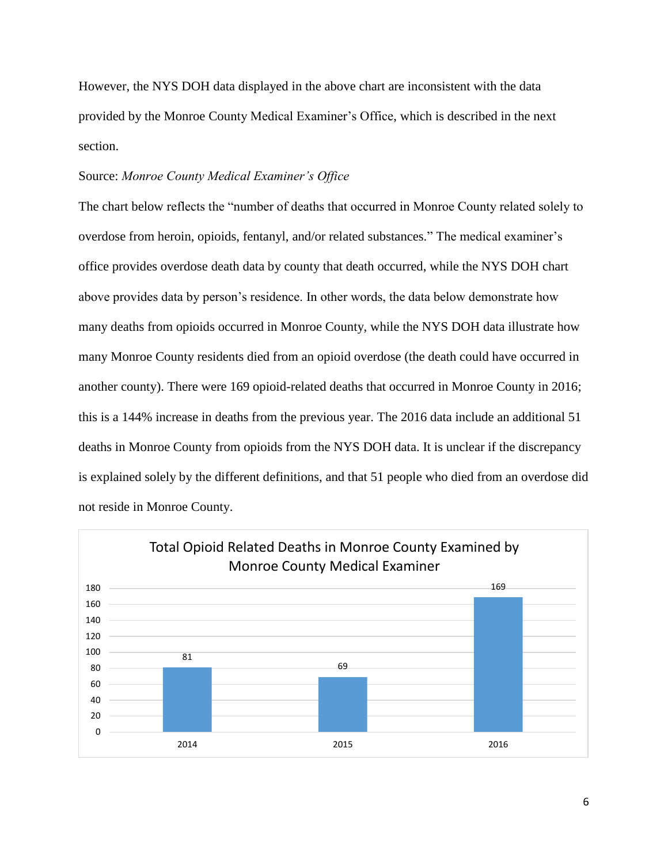However, the NYS DOH data displayed in the above chart are inconsistent with the data provided by the Monroe County Medical Examiner's Office, which is described in the next section.

### Source: *Monroe County Medical Examiner's Office*

The chart below reflects the "number of deaths that occurred in Monroe County related solely to overdose from heroin, opioids, fentanyl, and/or related substances." The medical examiner's office provides overdose death data by county that death occurred, while the NYS DOH chart above provides data by person's residence. In other words, the data below demonstrate how many deaths from opioids occurred in Monroe County, while the NYS DOH data illustrate how many Monroe County residents died from an opioid overdose (the death could have occurred in another county). There were 169 opioid-related deaths that occurred in Monroe County in 2016; this is a 144% increase in deaths from the previous year. The 2016 data include an additional 51 deaths in Monroe County from opioids from the NYS DOH data. It is unclear if the discrepancy is explained solely by the different definitions, and that 51 people who died from an overdose did not reside in Monroe County.

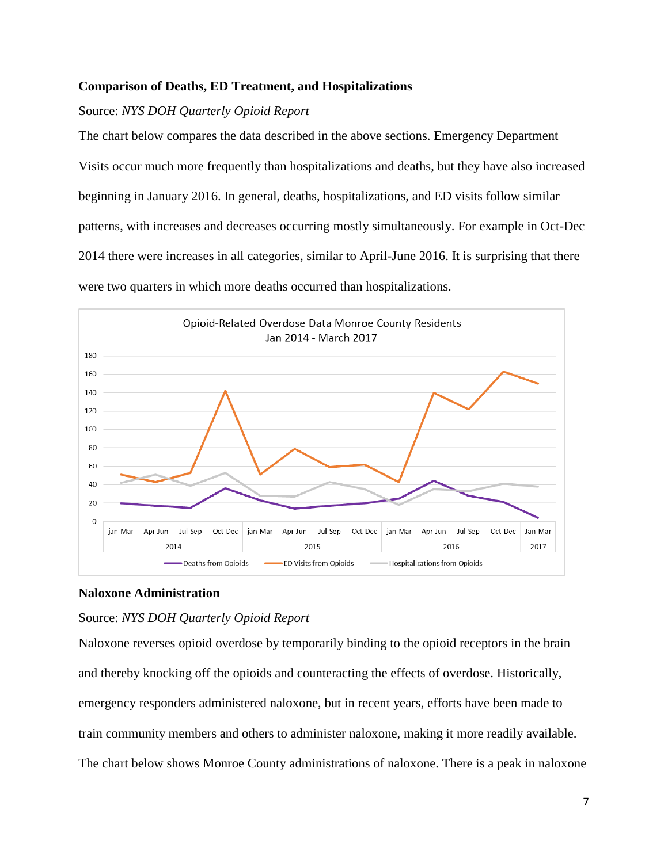# **Comparison of Deaths, ED Treatment, and Hospitalizations**

# Source: *NYS DOH Quarterly Opioid Report*

The chart below compares the data described in the above sections. Emergency Department Visits occur much more frequently than hospitalizations and deaths, but they have also increased beginning in January 2016. In general, deaths, hospitalizations, and ED visits follow similar patterns, with increases and decreases occurring mostly simultaneously. For example in Oct-Dec 2014 there were increases in all categories, similar to April-June 2016. It is surprising that there were two quarters in which more deaths occurred than hospitalizations.



# **Naloxone Administration**

## Source: *NYS DOH Quarterly Opioid Report*

Naloxone reverses opioid overdose by temporarily binding to the opioid receptors in the brain and thereby knocking off the opioids and counteracting the effects of overdose. Historically, emergency responders administered naloxone, but in recent years, efforts have been made to train community members and others to administer naloxone, making it more readily available. The chart below shows Monroe County administrations of naloxone. There is a peak in naloxone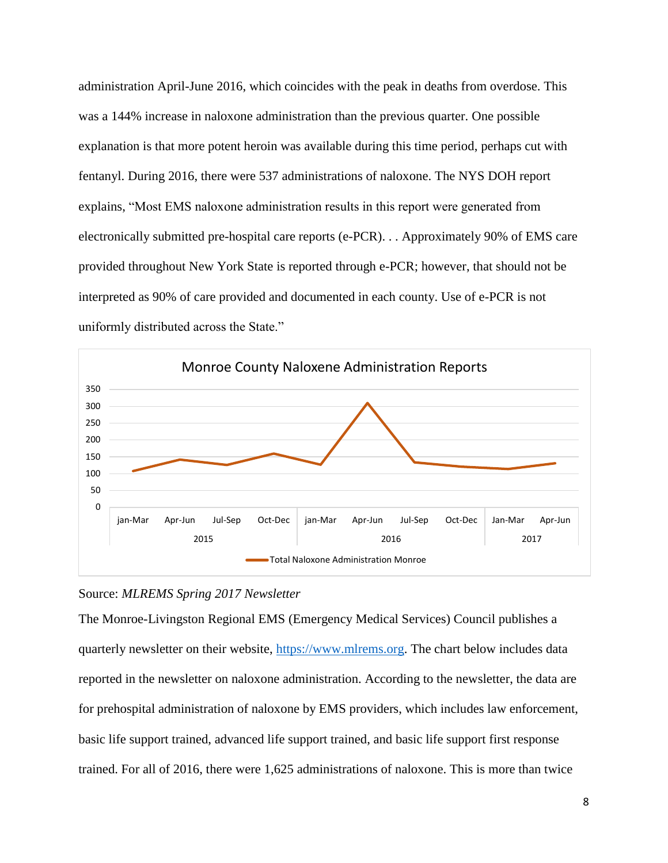administration April-June 2016, which coincides with the peak in deaths from overdose. This was a 144% increase in naloxone administration than the previous quarter. One possible explanation is that more potent heroin was available during this time period, perhaps cut with fentanyl. During 2016, there were 537 administrations of naloxone. The NYS DOH report explains, "Most EMS naloxone administration results in this report were generated from electronically submitted pre-hospital care reports (e-PCR). . . Approximately 90% of EMS care provided throughout New York State is reported through e-PCR; however, that should not be interpreted as 90% of care provided and documented in each county. Use of e-PCR is not uniformly distributed across the State."



## Source: *MLREMS Spring 2017 Newsletter*

The Monroe-Livingston Regional EMS (Emergency Medical Services) Council publishes a quarterly newsletter on their website, [https://www.mlrems.org.](https://www.mlrems.org/) The chart below includes data reported in the newsletter on naloxone administration. According to the newsletter, the data are for prehospital administration of naloxone by EMS providers, which includes law enforcement, basic life support trained, advanced life support trained, and basic life support first response trained. For all of 2016, there were 1,625 administrations of naloxone. This is more than twice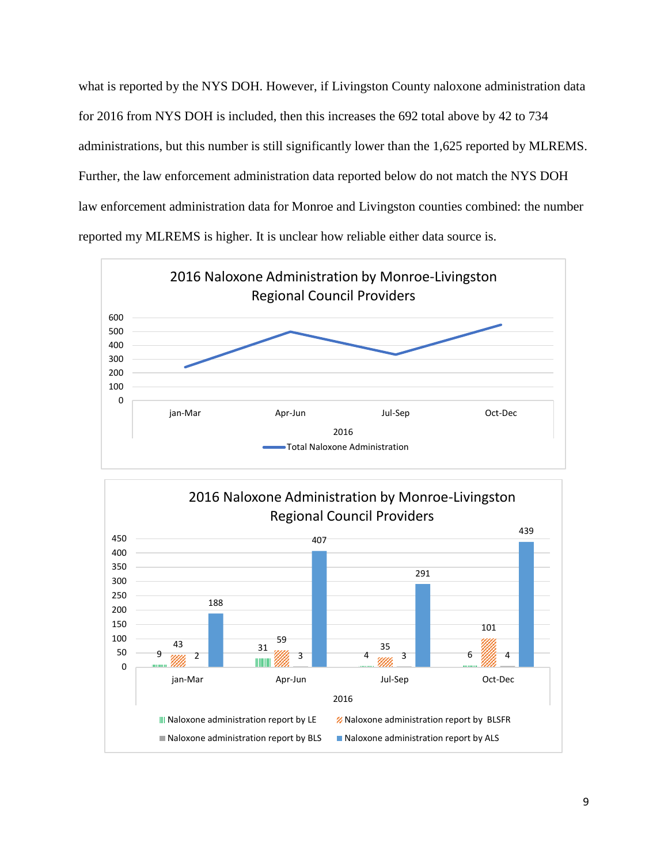what is reported by the NYS DOH. However, if Livingston County naloxone administration data for 2016 from NYS DOH is included, then this increases the 692 total above by 42 to 734 administrations, but this number is still significantly lower than the 1,625 reported by MLREMS. Further, the law enforcement administration data reported below do not match the NYS DOH law enforcement administration data for Monroe and Livingston counties combined: the number reported my MLREMS is higher. It is unclear how reliable either data source is.